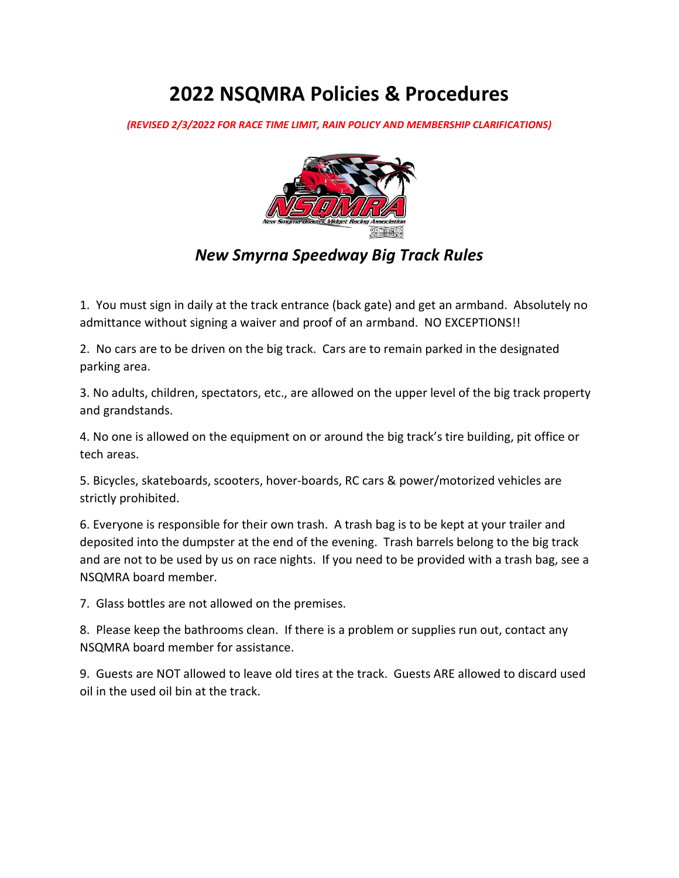# **2022 NSQMRA Policies & Procedures**

*(REVISED 2/3/2022 FOR RACE TIME LIMIT, RAIN POLICY AND MEMBERSHIP CLARIFICATIONS)* 



### *New Smyrna Speedway Big Track Rules*

1. You must sign in daily at the track entrance (back gate) and get an armband. Absolutely no admittance without signing a waiver and proof of an armband. NO EXCEPTIONS!!

2. No cars are to be driven on the big track. Cars are to remain parked in the designated parking area.

3. No adults, children, spectators, etc., are allowed on the upper level of the big track property and grandstands.

4. No one is allowed on the equipment on or around the big track's tire building, pit office or tech areas.

5. Bicycles, skateboards, scooters, hover-boards, RC cars & power/motorized vehicles are strictly prohibited.

6. Everyone is responsible for their own trash. A trash bag is to be kept at your trailer and deposited into the dumpster at the end of the evening. Trash barrels belong to the big track and are not to be used by us on race nights. If you need to be provided with a trash bag, see a NSQMRA board member.

7. Glass bottles are not allowed on the premises.

8. Please keep the bathrooms clean. If there is a problem or supplies run out, contact any NSQMRA board member for assistance.

9. Guests are NOT allowed to leave old tires at the track. Guests ARE allowed to discard used oil in the used oil bin at the track.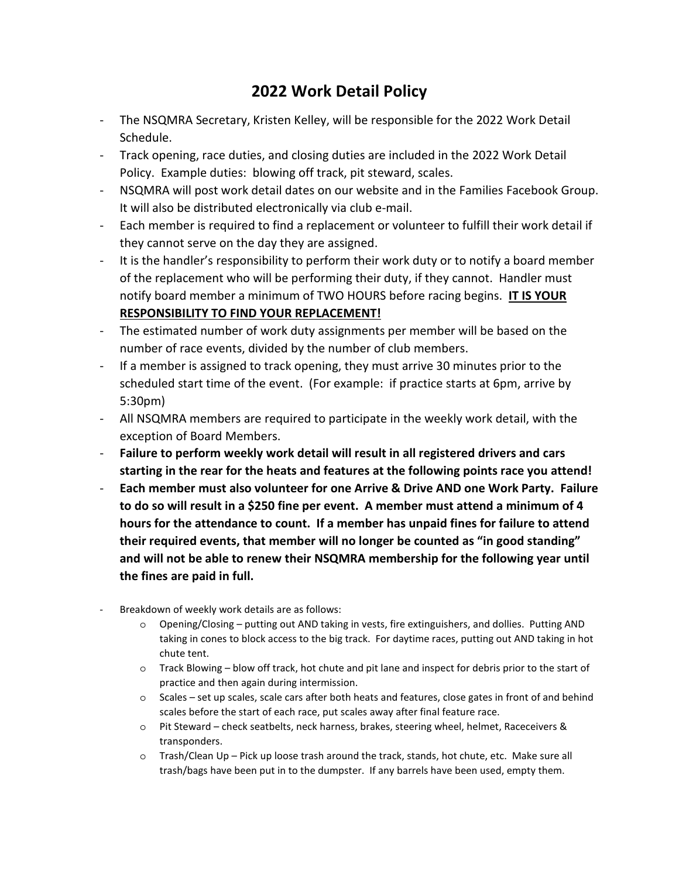### **2022 Work Detail Policy**

- The NSQMRA Secretary, Kristen Kelley, will be responsible for the 2022 Work Detail Schedule.
- Track opening, race duties, and closing duties are included in the 2022 Work Detail Policy. Example duties: blowing off track, pit steward, scales.
- NSQMRA will post work detail dates on our website and in the Families Facebook Group. It will also be distributed electronically via club e-mail.
- Each member is required to find a replacement or volunteer to fulfill their work detail if they cannot serve on the day they are assigned.
- It is the handler's responsibility to perform their work duty or to notify a board member of the replacement who will be performing their duty, if they cannot. Handler must notify board member a minimum of TWO HOURS before racing begins. **IT IS YOUR RESPONSIBILITY TO FIND YOUR REPLACEMENT!**
- The estimated number of work duty assignments per member will be based on the number of race events, divided by the number of club members.
- If a member is assigned to track opening, they must arrive 30 minutes prior to the scheduled start time of the event. (For example: if practice starts at 6pm, arrive by 5:30pm)
- All NSQMRA members are required to participate in the weekly work detail, with the exception of Board Members.
- **Failure to perform weekly work detail will result in all registered drivers and cars starting in the rear for the heats and features at the following points race you attend!**
- **Each member must also volunteer for one Arrive & Drive AND one Work Party. Failure to do so will result in a \$250 fine per event. A member must attend a minimum of 4 hours for the attendance to count. If a member has unpaid fines for failure to attend their required events, that member will no longer be counted as "in good standing" and will not be able to renew their NSQMRA membership for the following year until the fines are paid in full.**
- Breakdown of weekly work details are as follows:
	- o Opening/Closing putting out AND taking in vests, fire extinguishers, and dollies. Putting AND taking in cones to block access to the big track. For daytime races, putting out AND taking in hot chute tent.
	- o Track Blowing blow off track, hot chute and pit lane and inspect for debris prior to the start of practice and then again during intermission.
	- o Scales set up scales, scale cars after both heats and features, close gates in front of and behind scales before the start of each race, put scales away after final feature race.
	- o Pit Steward check seatbelts, neck harness, brakes, steering wheel, helmet, Raceceivers & transponders.
	- o Trash/Clean Up Pick up loose trash around the track, stands, hot chute, etc. Make sure all trash/bags have been put in to the dumpster. If any barrels have been used, empty them.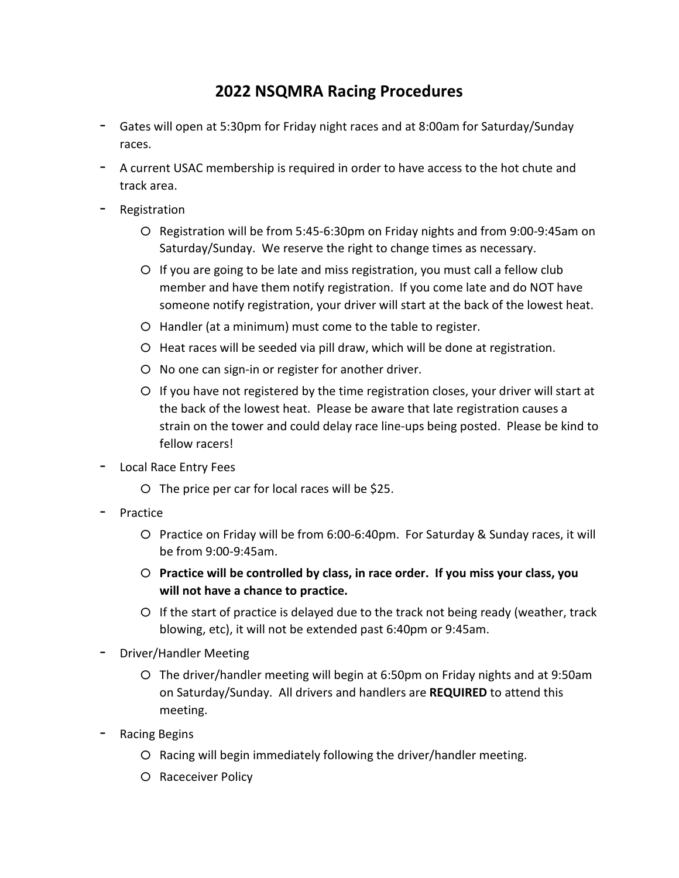### **2022 NSQMRA Racing Procedures**

- Gates will open at 5:30pm for Friday night races and at 8:00am for Saturday/Sunday races.
- A current USAC membership is required in order to have access to the hot chute and track area.
- Registration
	- o Registration will be from 5:45-6:30pm on Friday nights and from 9:00-9:45am on Saturday/Sunday. We reserve the right to change times as necessary.
	- o If you are going to be late and miss registration, you must call a fellow club member and have them notify registration. If you come late and do NOT have someone notify registration, your driver will start at the back of the lowest heat.
	- o Handler (at a minimum) must come to the table to register.
	- o Heat races will be seeded via pill draw, which will be done at registration.
	- o No one can sign-in or register for another driver.
	- o If you have not registered by the time registration closes, your driver will start at the back of the lowest heat. Please be aware that late registration causes a strain on the tower and could delay race line-ups being posted. Please be kind to fellow racers!
- Local Race Entry Fees
	- $\circ$  The price per car for local races will be \$25.
- Practice
	- o Practice on Friday will be from 6:00-6:40pm. For Saturday & Sunday races, it will be from 9:00-9:45am.
	- o **Practice will be controlled by class, in race order. If you miss your class, you will not have a chance to practice.**
	- $\circ$  If the start of practice is delayed due to the track not being ready (weather, track blowing, etc), it will not be extended past 6:40pm or 9:45am.
- Driver/Handler Meeting
	- o The driver/handler meeting will begin at 6:50pm on Friday nights and at 9:50am on Saturday/Sunday. All drivers and handlers are **REQUIRED** to attend this meeting.
- Racing Begins
	- o Racing will begin immediately following the driver/handler meeting.
	- o Raceceiver Policy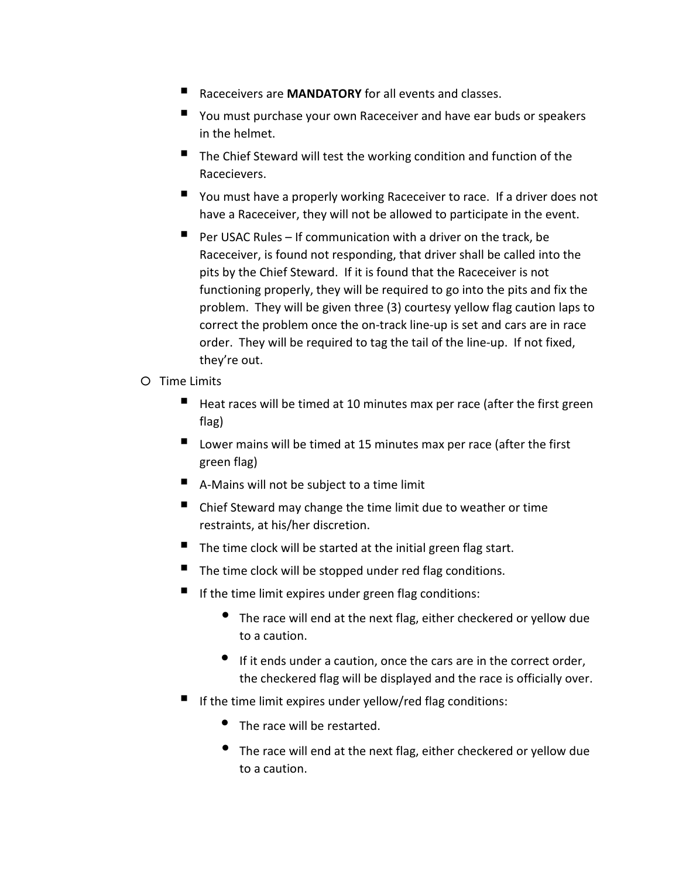- Raceceivers are **MANDATORY** for all events and classes.
- You must purchase your own Raceceiver and have ear buds or speakers in the helmet.
- $\blacksquare$  The Chief Steward will test the working condition and function of the Racecievers.
- You must have a properly working Raceceiver to race. If a driver does not have a Raceceiver, they will not be allowed to participate in the event.
- $\blacksquare$  Per USAC Rules If communication with a driver on the track, be Raceceiver, is found not responding, that driver shall be called into the pits by the Chief Steward. If it is found that the Raceceiver is not functioning properly, they will be required to go into the pits and fix the problem. They will be given three (3) courtesy yellow flag caution laps to correct the problem once the on-track line-up is set and cars are in race order. They will be required to tag the tail of the line-up. If not fixed, they're out.
- o Time Limits
	- Heat races will be timed at 10 minutes max per race (after the first green flag)
	- $\blacksquare$  Lower mains will be timed at 15 minutes max per race (after the first green flag)
	- A-Mains will not be subject to a time limit
	- Chief Steward may change the time limit due to weather or time restraints, at his/her discretion.
	- $\blacksquare$  The time clock will be started at the initial green flag start.
	- The time clock will be stopped under red flag conditions.
	- If the time limit expires under green flag conditions:
		- The race will end at the next flag, either checkered or yellow due to a caution.
		- If it ends under a caution, once the cars are in the correct order, the checkered flag will be displayed and the race is officially over.
	- If the time limit expires under yellow/red flag conditions:
		- The race will be restarted.
		- The race will end at the next flag, either checkered or yellow due to a caution.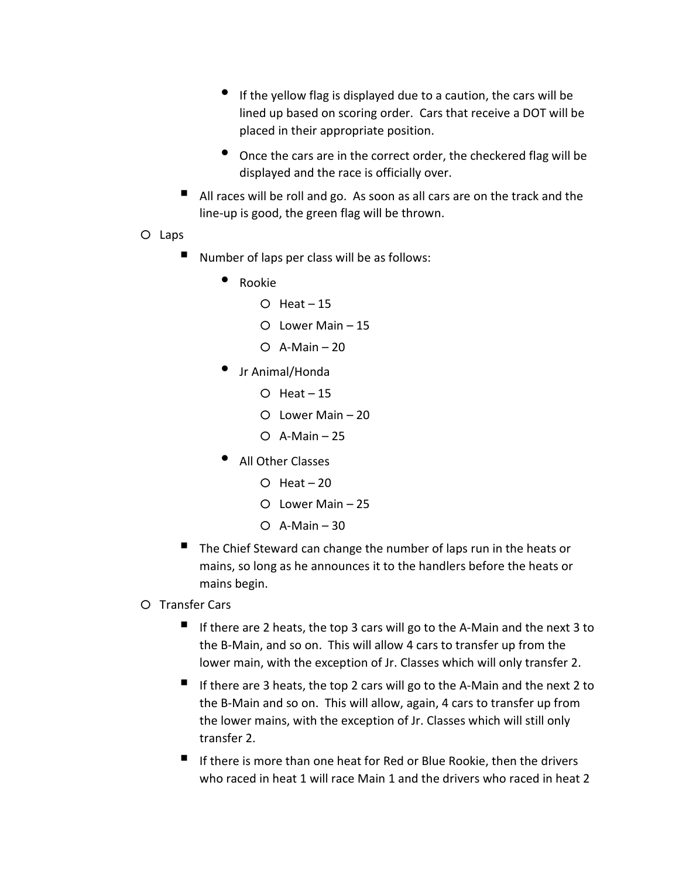- If the yellow flag is displayed due to a caution, the cars will be lined up based on scoring order. Cars that receive a DOT will be placed in their appropriate position.
- Once the cars are in the correct order, the checkered flag will be displayed and the race is officially over.
- All races will be roll and go. As soon as all cars are on the track and the line-up is good, the green flag will be thrown.
- o Laps
	- Number of laps per class will be as follows:
		- Rookie
			- $O$  Heat  $-15$
			- o Lower Main 15
			- $O$  A-Main 20
		- Jr Animal/Honda
			- $O$  Heat  $-15$
			- o Lower Main 20
			- $O$  A-Main 25
		- All Other Classes
			- $O$  Heat 20
			- o Lower Main 25
			- $O$  A-Main 30
	- The Chief Steward can change the number of laps run in the heats or mains, so long as he announces it to the handlers before the heats or mains begin.
- o Transfer Cars
	- If there are 2 heats, the top 3 cars will go to the A-Main and the next 3 to the B-Main, and so on. This will allow 4 cars to transfer up from the lower main, with the exception of Jr. Classes which will only transfer 2.
	- If there are 3 heats, the top 2 cars will go to the A-Main and the next 2 to the B-Main and so on. This will allow, again, 4 cars to transfer up from the lower mains, with the exception of Jr. Classes which will still only transfer 2.
	- If there is more than one heat for Red or Blue Rookie, then the drivers who raced in heat 1 will race Main 1 and the drivers who raced in heat 2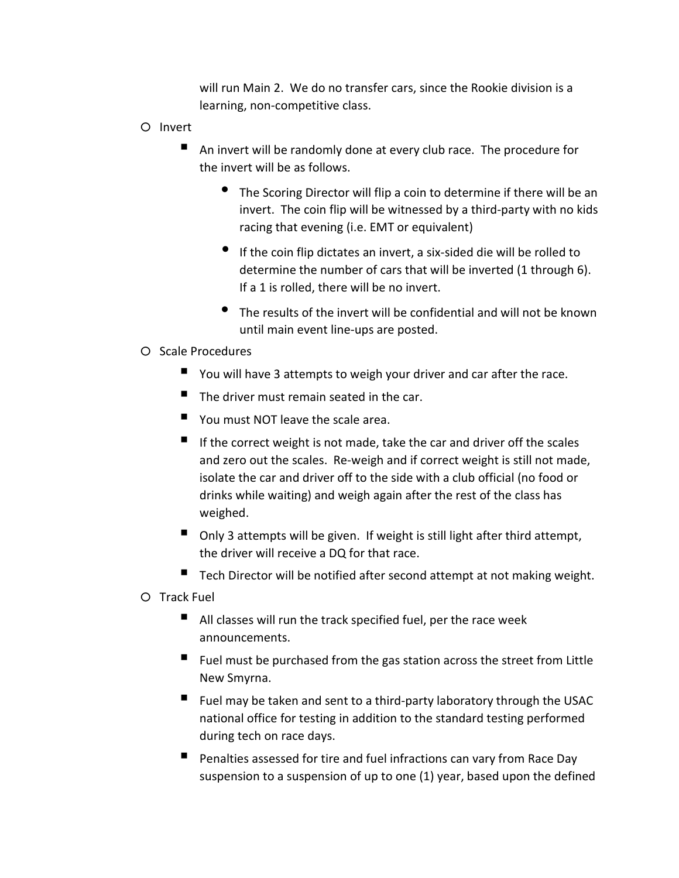will run Main 2. We do no transfer cars, since the Rookie division is a learning, non-competitive class.

- o Invert
	- An invert will be randomly done at every club race. The procedure for the invert will be as follows.
		- The Scoring Director will flip a coin to determine if there will be an invert. The coin flip will be witnessed by a third-party with no kids racing that evening (i.e. EMT or equivalent)
		- If the coin flip dictates an invert, a six-sided die will be rolled to determine the number of cars that will be inverted (1 through 6). If a 1 is rolled, there will be no invert.
		- The results of the invert will be confidential and will not be known until main event line-ups are posted.

#### o Scale Procedures

- You will have 3 attempts to weigh your driver and car after the race.
- The driver must remain seated in the car.
- You must NOT leave the scale area.
- If the correct weight is not made, take the car and driver off the scales and zero out the scales. Re-weigh and if correct weight is still not made, isolate the car and driver off to the side with a club official (no food or drinks while waiting) and weigh again after the rest of the class has weighed.
- Only 3 attempts will be given. If weight is still light after third attempt, the driver will receive a DQ for that race.
- $\blacksquare$  Tech Director will be notified after second attempt at not making weight.

o Track Fuel

- All classes will run the track specified fuel, per the race week announcements.
- $\blacksquare$  Fuel must be purchased from the gas station across the street from Little New Smyrna.
- $\blacksquare$  Fuel may be taken and sent to a third-party laboratory through the USAC national office for testing in addition to the standard testing performed during tech on race days.
- **Penalties assessed for tire and fuel infractions can vary from Race Day** suspension to a suspension of up to one (1) year, based upon the defined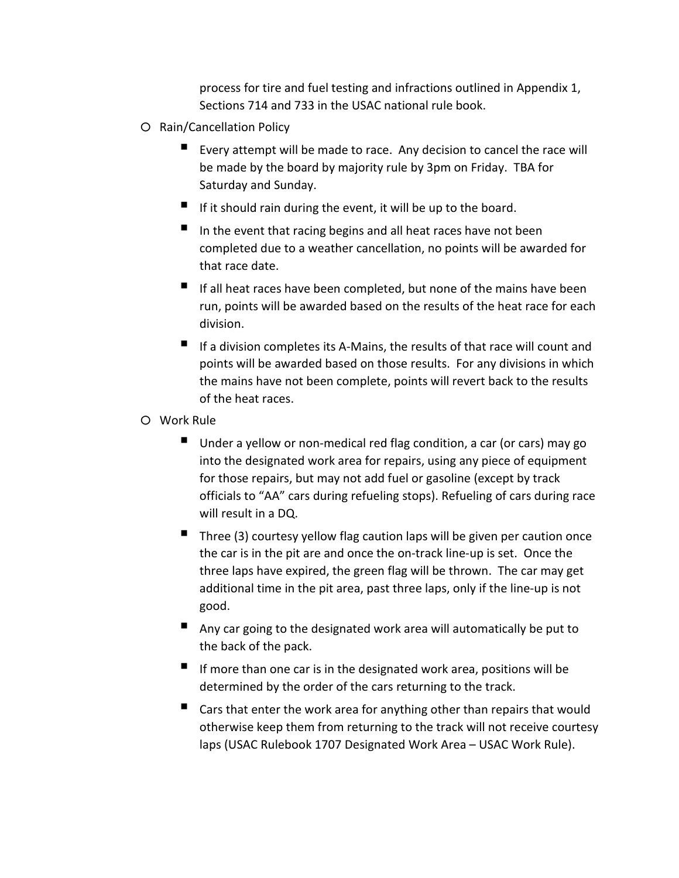process for tire and fuel testing and infractions outlined in Appendix 1, Sections 714 and 733 in the USAC national rule book.

- o Rain/Cancellation Policy
	- Every attempt will be made to race. Any decision to cancel the race will be made by the board by majority rule by 3pm on Friday. TBA for Saturday and Sunday.
	- If it should rain during the event, it will be up to the board.
	- In the event that racing begins and all heat races have not been completed due to a weather cancellation, no points will be awarded for that race date.
	- $\blacksquare$  If all heat races have been completed, but none of the mains have been run, points will be awarded based on the results of the heat race for each division.
	- $\blacksquare$  If a division completes its A-Mains, the results of that race will count and points will be awarded based on those results. For any divisions in which the mains have not been complete, points will revert back to the results of the heat races.
- o Work Rule
	- Under a yellow or non-medical red flag condition, a car (or cars) may go into the designated work area for repairs, using any piece of equipment for those repairs, but may not add fuel or gasoline (except by track officials to "AA" cars during refueling stops). Refueling of cars during race will result in a DQ.
	- Three (3) courtesy yellow flag caution laps will be given per caution once the car is in the pit are and once the on-track line-up is set. Once the three laps have expired, the green flag will be thrown. The car may get additional time in the pit area, past three laps, only if the line-up is not good.
	- Any car going to the designated work area will automatically be put to the back of the pack.
	- $\blacksquare$  If more than one car is in the designated work area, positions will be determined by the order of the cars returning to the track.
	- $\blacksquare$  Cars that enter the work area for anything other than repairs that would otherwise keep them from returning to the track will not receive courtesy laps (USAC Rulebook 1707 Designated Work Area – USAC Work Rule).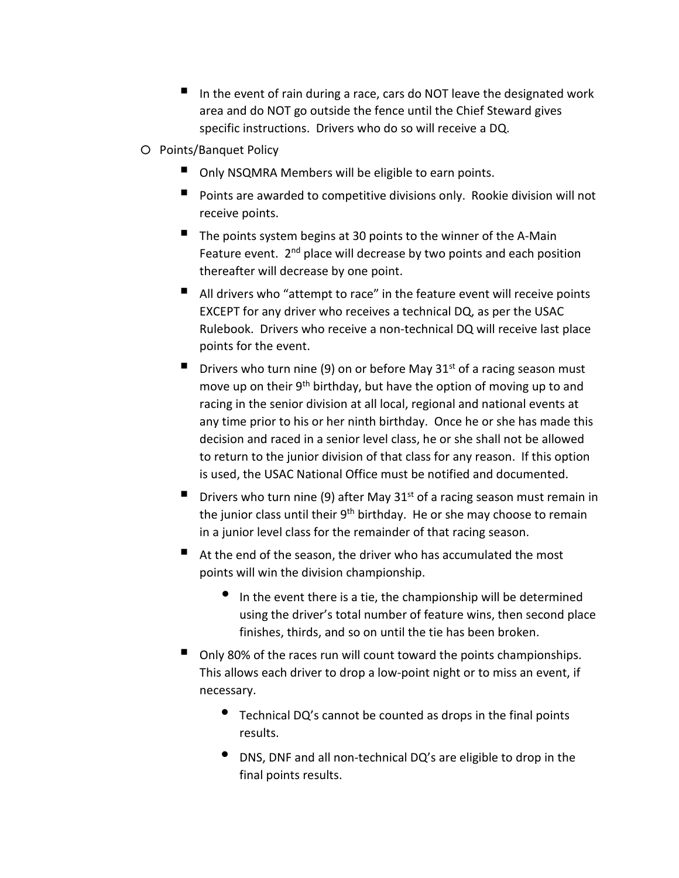- In the event of rain during a race, cars do NOT leave the designated work area and do NOT go outside the fence until the Chief Steward gives specific instructions. Drivers who do so will receive a DQ.
- o Points/Banquet Policy
	- Only NSQMRA Members will be eligible to earn points.
	- **Points are awarded to competitive divisions only. Rookie division will not** receive points.
	- $\blacksquare$  The points system begins at 30 points to the winner of the A-Main Feature event.  $2<sup>nd</sup>$  place will decrease by two points and each position thereafter will decrease by one point.
	- All drivers who "attempt to race" in the feature event will receive points EXCEPT for any driver who receives a technical DQ, as per the USAC Rulebook. Drivers who receive a non-technical DQ will receive last place points for the event.
	- **Drivers who turn nine (9) on or before May 31**<sup>st</sup> of a racing season must move up on their 9<sup>th</sup> birthday, but have the option of moving up to and racing in the senior division at all local, regional and national events at any time prior to his or her ninth birthday. Once he or she has made this decision and raced in a senior level class, he or she shall not be allowed to return to the junior division of that class for any reason. If this option is used, the USAC National Office must be notified and documented.
	- **Drivers who turn nine (9) after May 31st of a racing season must remain in** the junior class until their 9<sup>th</sup> birthday. He or she may choose to remain in a junior level class for the remainder of that racing season.
	- At the end of the season, the driver who has accumulated the most points will win the division championship.
		- In the event there is a tie, the championship will be determined using the driver's total number of feature wins, then second place finishes, thirds, and so on until the tie has been broken.
	- $\blacksquare$  Only 80% of the races run will count toward the points championships. This allows each driver to drop a low-point night or to miss an event, if necessary.
		- Technical DQ's cannot be counted as drops in the final points results.
		- DNS, DNF and all non-technical DQ's are eligible to drop in the final points results.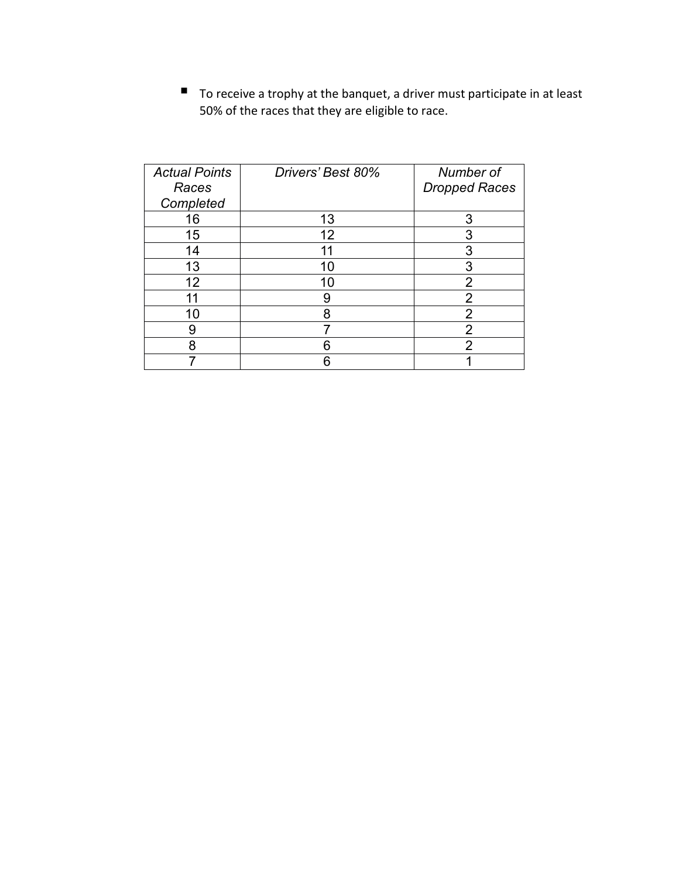$\blacksquare$  To receive a trophy at the banquet, a driver must participate in at least 50% of the races that they are eligible to race.

| <b>Actual Points</b><br>Races<br>Completed | Drivers' Best 80% | Number of<br><b>Dropped Races</b> |
|--------------------------------------------|-------------------|-----------------------------------|
| 16                                         | 13                | 3                                 |
| 15                                         | 12                | 3                                 |
| 14                                         | 11                | 3                                 |
| 13                                         | 10                | 3                                 |
| 12                                         | 10                | $\overline{2}$                    |
| 11                                         | 9                 | $\overline{2}$                    |
| 10                                         | 8                 | $\overline{2}$                    |
| 9                                          |                   | $\overline{2}$                    |
| 8                                          | 6                 | $\overline{2}$                    |
|                                            | 6                 |                                   |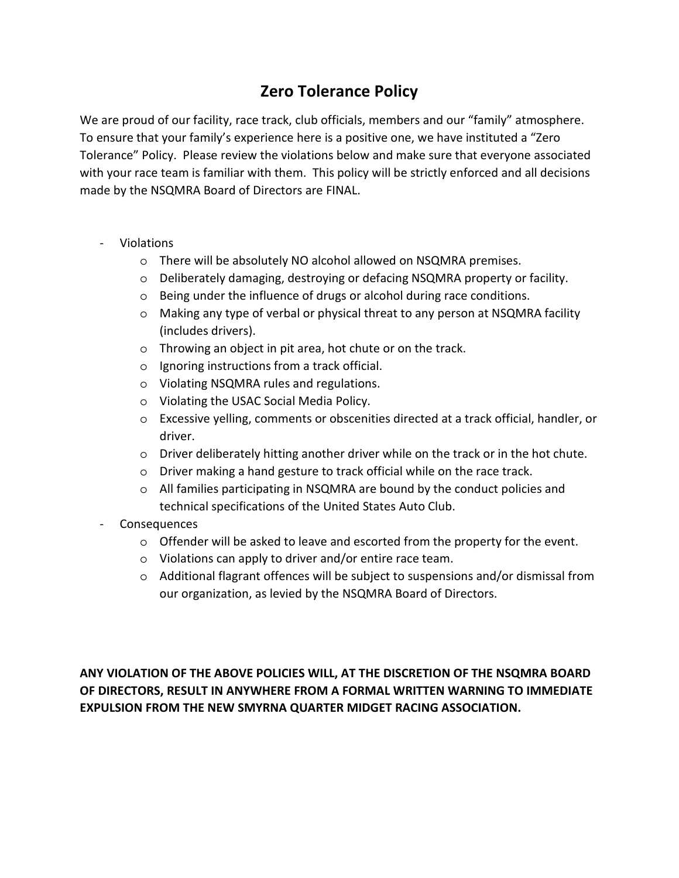### **Zero Tolerance Policy**

We are proud of our facility, race track, club officials, members and our "family" atmosphere. To ensure that your family's experience here is a positive one, we have instituted a "Zero Tolerance" Policy. Please review the violations below and make sure that everyone associated with your race team is familiar with them. This policy will be strictly enforced and all decisions made by the NSQMRA Board of Directors are FINAL.

- Violations
	- o There will be absolutely NO alcohol allowed on NSQMRA premises.
	- o Deliberately damaging, destroying or defacing NSQMRA property or facility.
	- o Being under the influence of drugs or alcohol during race conditions.
	- o Making any type of verbal or physical threat to any person at NSQMRA facility (includes drivers).
	- o Throwing an object in pit area, hot chute or on the track.
	- o Ignoring instructions from a track official.
	- o Violating NSQMRA rules and regulations.
	- o Violating the USAC Social Media Policy.
	- o Excessive yelling, comments or obscenities directed at a track official, handler, or driver.
	- o Driver deliberately hitting another driver while on the track or in the hot chute.
	- o Driver making a hand gesture to track official while on the race track.
	- $\circ$  All families participating in NSQMRA are bound by the conduct policies and technical specifications of the United States Auto Club.
- Consequences
	- $\circ$  Offender will be asked to leave and escorted from the property for the event.
	- o Violations can apply to driver and/or entire race team.
	- $\circ$  Additional flagrant offences will be subject to suspensions and/or dismissal from our organization, as levied by the NSQMRA Board of Directors.

**ANY VIOLATION OF THE ABOVE POLICIES WILL, AT THE DISCRETION OF THE NSQMRA BOARD OF DIRECTORS, RESULT IN ANYWHERE FROM A FORMAL WRITTEN WARNING TO IMMEDIATE EXPULSION FROM THE NEW SMYRNA QUARTER MIDGET RACING ASSOCIATION.**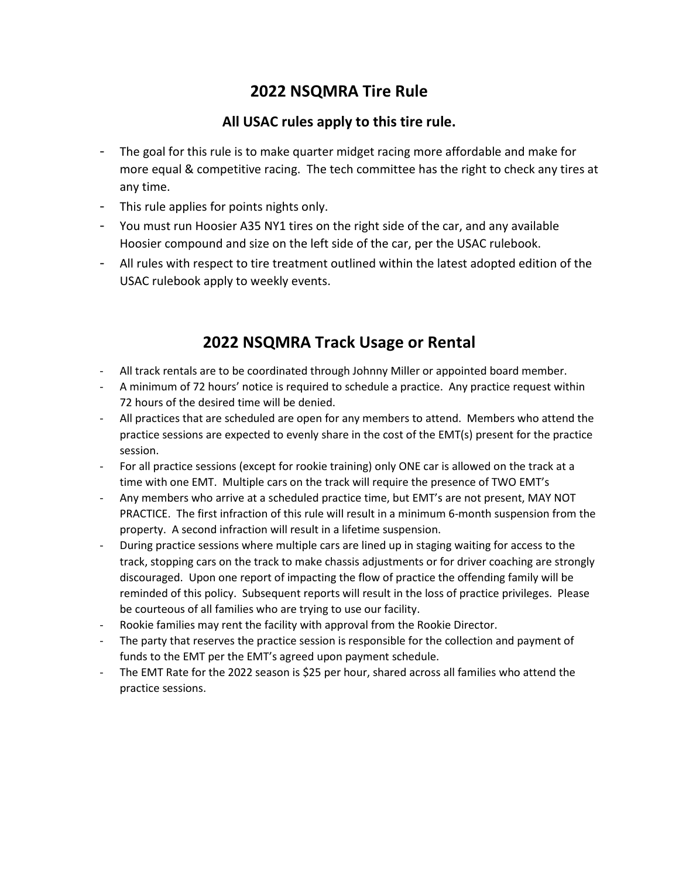#### **2022 NSQMRA Tire Rule**

#### **All USAC rules apply to this tire rule.**

- The goal for this rule is to make quarter midget racing more affordable and make for more equal & competitive racing. The tech committee has the right to check any tires at any time.
- This rule applies for points nights only.
- You must run Hoosier A35 NY1 tires on the right side of the car, and any available Hoosier compound and size on the left side of the car, per the USAC rulebook.
- All rules with respect to tire treatment outlined within the latest adopted edition of the USAC rulebook apply to weekly events.

### **2022 NSQMRA Track Usage or Rental**

- All track rentals are to be coordinated through Johnny Miller or appointed board member.
- A minimum of 72 hours' notice is required to schedule a practice. Any practice request within 72 hours of the desired time will be denied.
- All practices that are scheduled are open for any members to attend. Members who attend the practice sessions are expected to evenly share in the cost of the EMT(s) present for the practice session.
- For all practice sessions (except for rookie training) only ONE car is allowed on the track at a time with one EMT. Multiple cars on the track will require the presence of TWO EMT's
- Any members who arrive at a scheduled practice time, but EMT's are not present, MAY NOT PRACTICE. The first infraction of this rule will result in a minimum 6-month suspension from the property. A second infraction will result in a lifetime suspension.
- During practice sessions where multiple cars are lined up in staging waiting for access to the track, stopping cars on the track to make chassis adjustments or for driver coaching are strongly discouraged. Upon one report of impacting the flow of practice the offending family will be reminded of this policy. Subsequent reports will result in the loss of practice privileges. Please be courteous of all families who are trying to use our facility.
- Rookie families may rent the facility with approval from the Rookie Director.
- The party that reserves the practice session is responsible for the collection and payment of funds to the EMT per the EMT's agreed upon payment schedule.
- The EMT Rate for the 2022 season is \$25 per hour, shared across all families who attend the practice sessions.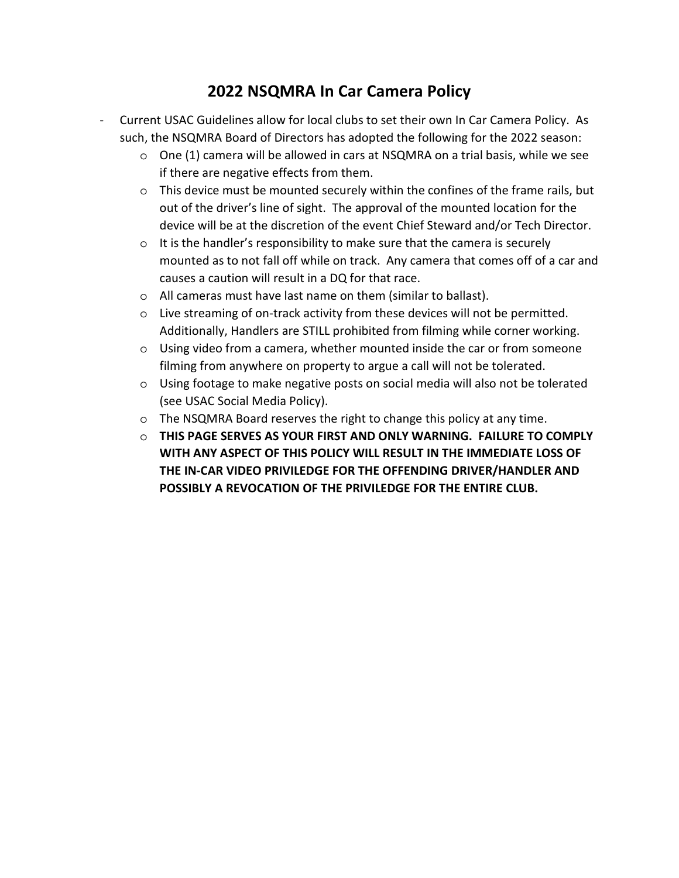### **2022 NSQMRA In Car Camera Policy**

- Current USAC Guidelines allow for local clubs to set their own In Car Camera Policy. As such, the NSQMRA Board of Directors has adopted the following for the 2022 season:
	- $\circ$  One (1) camera will be allowed in cars at NSQMRA on a trial basis, while we see if there are negative effects from them.
	- $\circ$  This device must be mounted securely within the confines of the frame rails, but out of the driver's line of sight. The approval of the mounted location for the device will be at the discretion of the event Chief Steward and/or Tech Director.
	- o It is the handler's responsibility to make sure that the camera is securely mounted as to not fall off while on track. Any camera that comes off of a car and causes a caution will result in a DQ for that race.
	- o All cameras must have last name on them (similar to ballast).
	- o Live streaming of on-track activity from these devices will not be permitted. Additionally, Handlers are STILL prohibited from filming while corner working.
	- o Using video from a camera, whether mounted inside the car or from someone filming from anywhere on property to argue a call will not be tolerated.
	- o Using footage to make negative posts on social media will also not be tolerated (see USAC Social Media Policy).
	- o The NSQMRA Board reserves the right to change this policy at any time.
	- o **THIS PAGE SERVES AS YOUR FIRST AND ONLY WARNING. FAILURE TO COMPLY WITH ANY ASPECT OF THIS POLICY WILL RESULT IN THE IMMEDIATE LOSS OF THE IN-CAR VIDEO PRIVILEDGE FOR THE OFFENDING DRIVER/HANDLER AND POSSIBLY A REVOCATION OF THE PRIVILEDGE FOR THE ENTIRE CLUB.**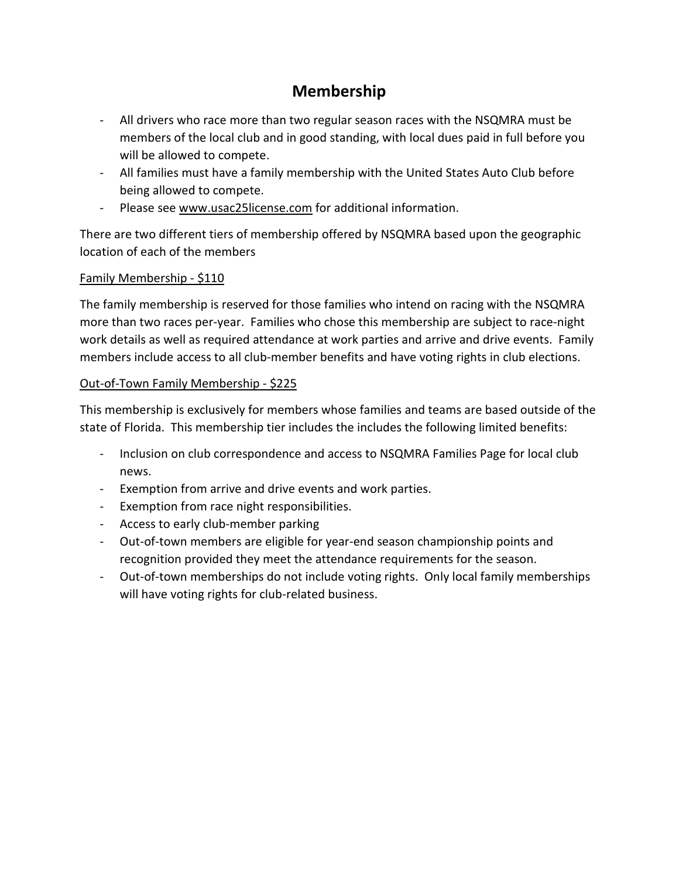### **Membership**

- All drivers who race more than two regular season races with the NSQMRA must be members of the local club and in good standing, with local dues paid in full before you will be allowed to compete.
- All families must have a family membership with the United States Auto Club before being allowed to compete.
- Please see www.usac25license.com for additional information.

There are two different tiers of membership offered by NSQMRA based upon the geographic location of each of the members

#### Family Membership - \$110

The family membership is reserved for those families who intend on racing with the NSQMRA more than two races per-year. Families who chose this membership are subject to race-night work details as well as required attendance at work parties and arrive and drive events. Family members include access to all club-member benefits and have voting rights in club elections.

#### Out-of-Town Family Membership - \$225

This membership is exclusively for members whose families and teams are based outside of the state of Florida. This membership tier includes the includes the following limited benefits:

- Inclusion on club correspondence and access to NSQMRA Families Page for local club news.
- Exemption from arrive and drive events and work parties.
- Exemption from race night responsibilities.
- Access to early club-member parking
- Out-of-town members are eligible for year-end season championship points and recognition provided they meet the attendance requirements for the season.
- Out-of-town memberships do not include voting rights. Only local family memberships will have voting rights for club-related business.